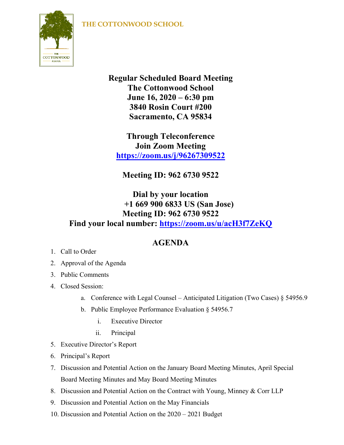## **THE COTTONWOOD SCHOOL**



**Regular Scheduled Board Meeting The Cottonwood School June 16, 2020 – 6:30 pm 3840 Rosin Court #200 Sacramento, CA 95834**

**Through Teleconference Join Zoom Meeting <https://zoom.us/j/96267309522>**

**Meeting ID: 962 6730 9522**

## **Dial by your location +1 669 900 6833 US (San Jose) Meeting ID: 962 6730 9522 Find your local number: <https://zoom.us/u/acH3f7ZeKQ>**

## **AGENDA**

- 1. Call to Order
- 2. Approval of the Agenda
- 3. Public Comments
- 4. Closed Session:
	- a. Conference with Legal Counsel Anticipated Litigation (Two Cases)  $\S$  54956.9
	- b. Public Employee Performance Evaluation § 54956.7
		- i. Executive Director
		- ii. Principal
- 5. Executive Director's Report
- 6. Principal's Report
- 7. Discussion and Potential Action on the January Board Meeting Minutes, April Special Board Meeting Minutes and May Board Meeting Minutes
- 8. Discussion and Potential Action on the Contract with Young, Minney & Corr LLP
- 9. Discussion and Potential Action on the May Financials
- 10. Discussion and Potential Action on the 2020 2021 Budget